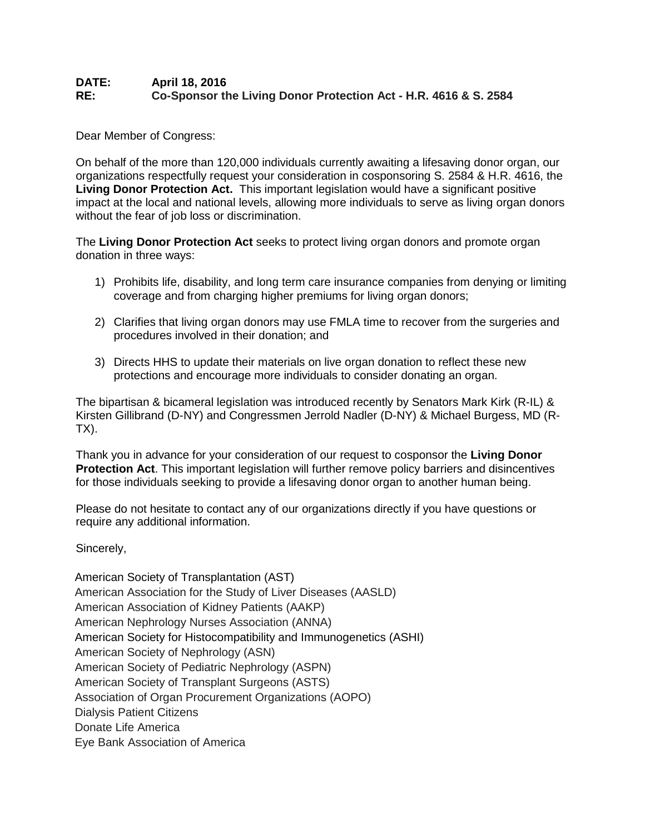## **DATE: April 18, 2016 RE: Co-Sponsor the Living Donor Protection Act - H.R. 4616 & S. 2584**

Dear Member of Congress:

On behalf of the more than 120,000 individuals currently awaiting a lifesaving donor organ, our organizations respectfully request your consideration in cosponsoring S. 2584 & H.R. 4616, the **Living Donor Protection Act.** This important legislation would have a significant positive impact at the local and national levels, allowing more individuals to serve as living organ donors without the fear of job loss or discrimination.

The **Living Donor Protection Act** seeks to protect living organ donors and promote organ donation in three ways:

- 1) Prohibits life, disability, and long term care insurance companies from denying or limiting coverage and from charging higher premiums for living organ donors;
- 2) Clarifies that living organ donors may use FMLA time to recover from the surgeries and procedures involved in their donation; and
- 3) Directs HHS to update their materials on live organ donation to reflect these new protections and encourage more individuals to consider donating an organ.

The bipartisan & bicameral legislation was introduced recently by Senators Mark Kirk (R-IL) & Kirsten Gillibrand (D-NY) and Congressmen Jerrold Nadler (D-NY) & Michael Burgess, MD (R-TX).

Thank you in advance for your consideration of our request to cosponsor the **Living Donor Protection Act**. This important legislation will further remove policy barriers and disincentives for those individuals seeking to provide a lifesaving donor organ to another human being.

Please do not hesitate to contact any of our organizations directly if you have questions or require any additional information.

Sincerely,

American Society of Transplantation (AST) American Association for the Study of Liver Diseases (AASLD) American Association of Kidney Patients (AAKP) American Nephrology Nurses Association (ANNA) American Society for Histocompatibility and Immunogenetics (ASHI) American Society of Nephrology (ASN) American Society of Pediatric Nephrology (ASPN) American Society of Transplant Surgeons (ASTS) Association of Organ Procurement Organizations (AOPO) Dialysis Patient Citizens Donate Life America Eye Bank Association of America